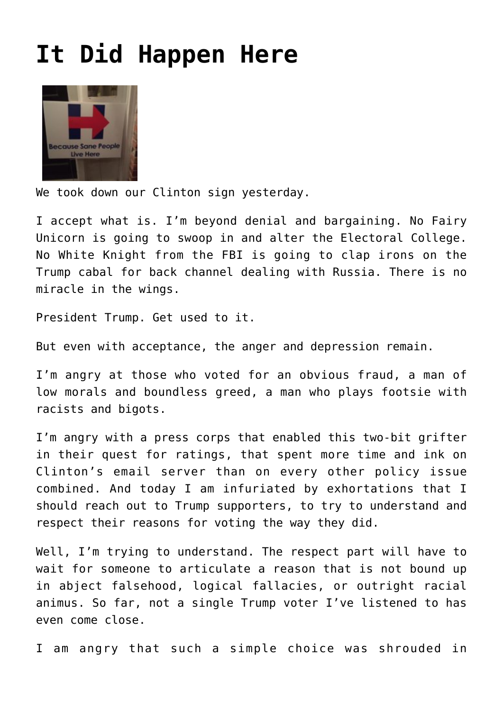## **[It Did Happen Here](http://www.immunetoboredom.com/it-did-happen-here/)**



We took down our Clinton sign yesterday.

I accept what is. I'm beyond denial and bargaining. No Fairy Unicorn is going to swoop in and alter the Electoral College. No White Knight from the FBI is going to clap irons on the Trump cabal for back channel dealing with Russia. There is no miracle in the wings.

President Trump. Get used to it.

But even with acceptance, the anger and depression remain.

I'm angry at those who voted for an obvious fraud, a man of low morals and boundless greed, a man who plays footsie with racists and bigots.

I'm angry with a press corps that enabled this two-bit grifter in their quest for ratings, that spent more time and ink on Clinton's email server than on every other policy issue combined. And today I am infuriated by exhortations that I should [reach out to Trump supporters,](http://www.nytimes.com/interactive/projects/cp/opinion/election-night-2016/stop-shaming-trump-supporters) to [try to understand and](http://www.nytimes.com/2016/11/11/us/politics/the-women-who-helped-donald-trump-to-victory.html?action=click&pgtype=Homepage&clickSource=story-heading&module=span-abc-region®ion=span-abc-region&WT.nav=span-abc-region) [respect](http://www.nytimes.com/2016/11/11/us/politics/the-women-who-helped-donald-trump-to-victory.html?action=click&pgtype=Homepage&clickSource=story-heading&module=span-abc-region®ion=span-abc-region&WT.nav=span-abc-region) their reasons for voting the way they did.

Well, I'm trying to understand. The respect part will have to wait for someone to articulate a reason that is not bound up in abject falsehood, logical fallacies, or outright racial animus. So far, not a single Trump voter I've listened to has even come close.

I am angry that such a simple choice was shrouded in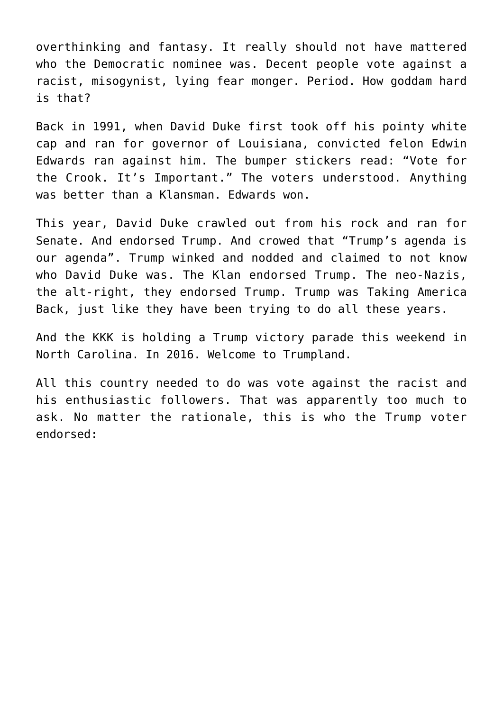overthinking and fantasy. It really should not have mattered who the Democratic nominee was. Decent people vote against a racist, misogynist, lying fear monger. Period. How goddam hard is that?

Back in 1991, when David Duke first took off his pointy white cap and ran for governor of Louisiana, convicted felon Edwin Edwards ran against him. The bumper stickers read: "Vote for the Crook. It's Important." The voters understood. Anything was better than a Klansman. Edwards won.

This year, David Duke crawled out from his rock and ran for Senate. And endorsed Trump. And crowed that "Trump's agenda is our agenda". Trump winked and nodded and claimed to not know who David Duke was. The Klan endorsed Trump. The neo-Nazis, the alt-right, they endorsed Trump. Trump was Taking America Back, just like they have been trying to do all these years.

And the KKK is holding a Trump victory parade this weekend in North Carolina. In 2016. Welcome to Trumpland.

All this country needed to do was vote against the racist and his enthusiastic followers. That was apparently too much to ask. No matter the rationale, this is who the Trump voter endorsed: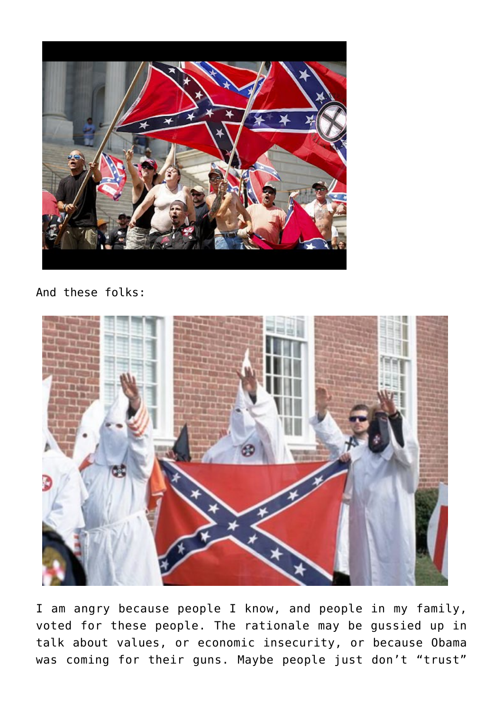

## And these folks:



I am angry because people I know, and people in my family, voted for these people. The rationale may be gussied up in talk about values, or economic insecurity, or because Obama was coming for their guns. Maybe people just don't "trust"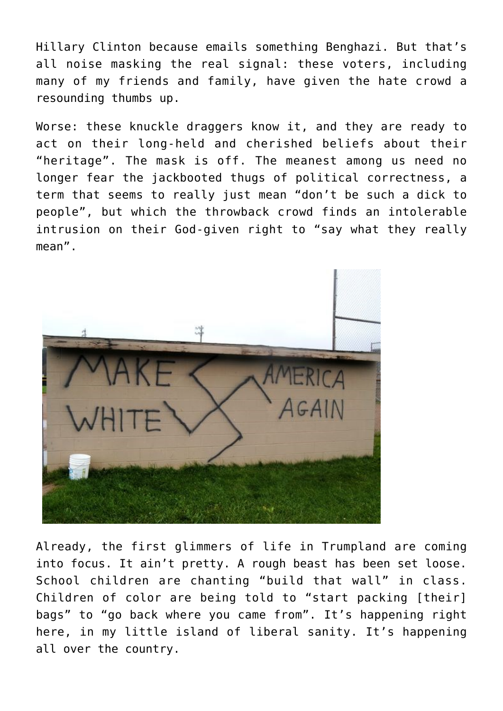Hillary Clinton because emails something Benghazi. But that's all noise masking the real signal: these voters, including many of my friends and family, have given the hate crowd a resounding thumbs up.

Worse: these knuckle draggers know it, and they are ready to act on their long-held and cherished beliefs about their "heritage". The mask is off. The meanest among us need no longer fear the jackbooted thugs of political correctness, a term that seems to really just mean "don't be such a dick to people", but which the throwback crowd finds an intolerable intrusion on their God-given right to "say what they really mean".



Already, the first glimmers of life in Trumpland are coming into focus. It ain't pretty. A rough beast has been set loose. School children are chanting "build that wall" in class. Children of color are being told to "start packing [their] bags" to "go back where you came from". It's happening right here, in my little island of liberal sanity. It's happening all over the country.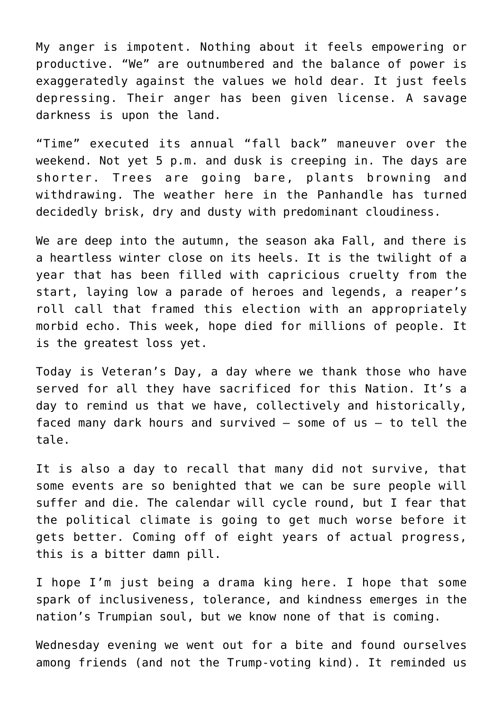My anger is impotent. Nothing about it feels empowering or productive. "We" are outnumbered and the balance of power is exaggeratedly against the values we hold dear. It just feels depressing. Their anger has been given license. A savage darkness is upon the land.

"Time" executed its annual "fall back" maneuver over the weekend. Not yet 5 p.m. and dusk is creeping in. The days are shorter. Trees are going bare, plants browning and withdrawing. The weather here in the Panhandle has turned decidedly brisk, dry and dusty with predominant cloudiness.

We are deep into the autumn, the season aka Fall, and there is a heartless winter close on its heels. It is the twilight of a year that has been filled with capricious cruelty from the start, laying low a parade of heroes and legends, a reaper's roll call that framed this election with an appropriately morbid echo. This week, hope died for millions of people. It is the greatest loss yet.

Today is Veteran's Day, a day where we thank those who have served for all they have sacrificed for this Nation. It's a day to remind us that we have, collectively and historically, faced many dark hours and survived – some of us – to tell the tale.

It is also a day to recall that many did not survive, that some events are so benighted that we can be sure people will suffer and die. The calendar will cycle round, but I fear that the political climate is going to get much worse before it gets better. Coming off of eight years of actual progress, this is a bitter damn pill.

I hope I'm just being a drama king here. I hope that some spark of inclusiveness, tolerance, and kindness emerges in the nation's Trumpian soul, but we know none of that is coming.

Wednesday evening we went out for a bite and found ourselves among friends (and not the Trump-voting kind). It reminded us